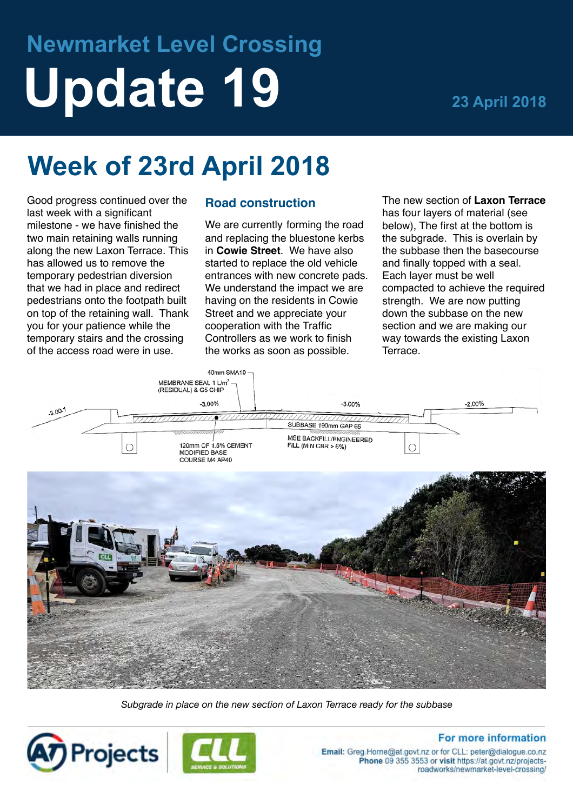# **Newmarket Level Crossing Update 19 23 April 2018**

## **Week of 23rd April 2018**

Good progress continued over the last week with a significant milestone - we have finished the two main retaining walls running along the new Laxon Terrace. This has allowed us to remove the temporary pedestrian diversion that we had in place and redirect pedestrians onto the footpath built on top of the retaining wall. Thank you for your patience while the temporary stairs and the crossing of the access road were in use.

### **Road construction**

We are currently forming the road and replacing the bluestone kerbs in **Cowie Street**. We have also started to replace the old vehicle entrances with new concrete pads. We understand the impact we are having on the residents in Cowie Street and we appreciate your cooperation with the Traffic Controllers as we work to finish the works as soon as possible.

The new section of **Laxon Terrace**  has four layers of material (see below), The first at the bottom is the subgrade. This is overlain by the subbase then the basecourse and finally topped with a seal. Each layer must be well compacted to achieve the required strength. We are now putting down the subbase on the new section and we are making our way towards the existing Laxon Terrace.



*Subgrade in place on the new section of Laxon Terrace ready for the subbase*